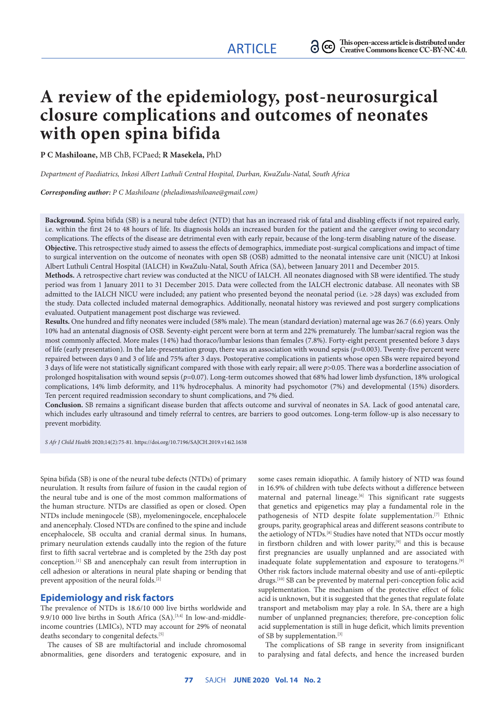# **A review of the epidemiology, post-neurosurgical closure complications and outcomes of neonates with open spina bifida**

**P C Mashiloane,** MB ChB, FCPaed; **R Masekela,** PhD

*Department of Paediatrics, Inkosi Albert Luthuli Central Hospital, Durban, KwaZulu-Natal, South Africa*

*Corresponding author: P C Mashiloane (pheladimashiloane@gmail.com)*

**Background.** Spina bifida (SB) is a neural tube defect (NTD) that has an increased risk of fatal and disabling effects if not repaired early, i.e. within the first 24 to 48 hours of life. Its diagnosis holds an increased burden for the patient and the caregiver owing to secondary complications. The effects of the disease are detrimental even with early repair, because of the long-term disabling nature of the disease. **Objective.** This retrospective study aimed to assess the effects of demographics, immediate post-surgical complications and impact of time to surgical intervention on the outcome of neonates with open SB (OSB) admitted to the neonatal intensive care unit (NICU) at Inkosi Albert Luthuli Central Hospital (IALCH) in KwaZulu-Natal, South Africa (SA), between January 2011 and December 2015.

**Methods.** A retrospective chart review was conducted at the NICU of IALCH. All neonates diagnosed with SB were identified. The study period was from 1 January 2011 to 31 December 2015. Data were collected from the IALCH electronic database. All neonates with SB admitted to the IALCH NICU were included; any patient who presented beyond the neonatal period (i.e. >28 days) was excluded from the study. Data collected included maternal demographics. Additionally, neonatal history was reviewed and post surgery complications evaluated. Outpatient management post discharge was reviewed.

**Results.** One hundred and fifty neonates were included (58% male). The mean (standard deviation) maternal age was 26.7 (6.6) years. Only 10% had an antenatal diagnosis of OSB. Seventy-eight percent were born at term and 22% prematurely. The lumbar/sacral region was the most commonly affected. More males (14%) had thoraco/lumbar lesions than females (7.8%). Forty-eight percent presented before 3 days of life (early presentation). In the late-presentation group, there was an association with wound sepsis (*p*=0.003). Twenty-five percent were repaired between days 0 and 3 of life and 75% after 3 days. Postoperative complications in patients whose open SBs were repaired beyond 3 days of life were not statistically significant compared with those with early repair; all were *p*>0.05. There was a borderline association of prolonged hospitalisation with wound sepsis (*p*=0.07). Long-term outcomes showed that 68% had lower limb dysfunction, 18% urological complications, 14% limb deformity, and 11% hydrocephalus. A minority had psychomotor (7%) and developmental (15%) disorders. Ten percent required readmission secondary to shunt complications, and 7% died.

**Conclusion.** SB remains a significant disease burden that affects outcome and survival of neonates in SA. Lack of good antenatal care, which includes early ultrasound and timely referral to centres, are barriers to good outcomes. Long-term follow-up is also necessary to prevent morbidity.

*S Afr J Child Health* 2020;14(2):75-81. https://doi.org/10.7196/SAJCH.2019.v14i2.1638

Spina bifida (SB) is one of the neural tube defects (NTDs) of primary neurulation. It results from failure of fusion in the caudal region of the neural tube and is one of the most common malformations of the human structure. NTDs are classified as open or closed. Open NTDs include meningocele (SB), myelomeningocele, encephalocele and anencephaly. Closed NTDs are confined to the spine and include encephalocele, SB occulta and cranial dermal sinus. In humans, primary neurulation extends caudally into the region of the future first to fifth sacral vertebrae and is completed by the 25th day post conception.[1] SB and anencephaly can result from interruption in cell adhesion or alterations in neural plate shaping or bending that prevent apposition of the neural folds.<sup>[2]</sup>

#### **Epidemiology and risk factors**

The prevalence of NTDs is 18.6/10 000 live births worldwide and 9.9/10 000 live births in South Africa (SA).<sup>[3,4]</sup> In low-and-middleincome countries (LMICs), NTD may account for 29% of neonatal deaths secondary to congenital defects.<sup>[5]</sup>

The causes of SB are multifactorial and include chromosomal abnormalities, gene disorders and teratogenic exposure, and in

some cases remain idiopathic. A family history of NTD was found in 16.9% of children with tube defects without a difference between maternal and paternal lineage.<sup>[6]</sup> This significant rate suggests that genetics and epigenetics may play a fundamental role in the pathogenesis of NTD despite folate supplementation.[7] Ethnic groups, parity, geographical areas and different seasons contribute to the aetiology of NTDs.[8] Studies have noted that NTDs occur mostly in firstborn children and with lower parity,<sup>[9]</sup> and this is because first pregnancies are usually unplanned and are associated with inadequate folate supplementation and exposure to teratogens.[9] Other risk factors include maternal obesity and use of anti-epileptic drugs.[10] SB can be prevented by maternal peri-conception folic acid supplementation. The mechanism of the protective effect of folic acid is unknown, but it is suggested that the genes that regulate folate transport and metabolism may play a role. In SA, there are a high number of unplanned pregnancies; therefore, pre-conception folic acid supplementation is still in huge deficit, which limits prevention of SB by supplementation.[3]

The complications of SB range in severity from insignificant to paralysing and fatal defects, and hence the increased burden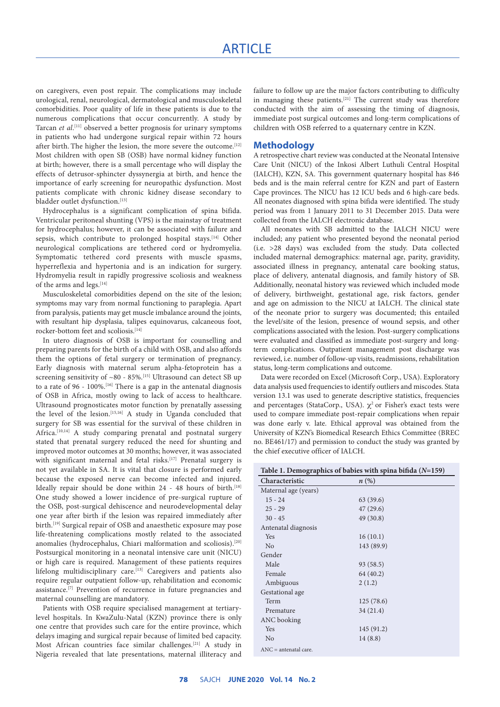on caregivers, even post repair. The complications may include urological, renal, neurological, dermatological and musculoskeletal comorbidities. Poor quality of life in these patients is due to the numerous complications that occur concurrently. A study by Tarcan *et al*. [11] observed a better prognosis for urinary symptoms in patients who had undergone surgical repair within 72 hours after birth. The higher the lesion, the more severe the outcome.<sup>[12]</sup> Most children with open SB (OSB) have normal kidney function at birth; however, there is a small percentage who will display the effects of detrusor-sphincter dyssynergia at birth, and hence the importance of early screening for neuropathic dysfunction. Most patients complicate with chronic kidney disease secondary to bladder outlet dysfunction.[13]

Hydrocephalus is a significant complication of spina bifida. Ventricular peritoneal shunting (VPS) is the mainstay of treatment for hydrocephalus; however, it can be associated with failure and sepsis, which contribute to prolonged hospital stays.<sup>[14]</sup> Other neurological complications are tethered cord or hydromyelia. Symptomatic tethered cord presents with muscle spasms, hyperreflexia and hypertonia and is an indication for surgery. Hydromyelia result in rapidly progressive scoliosis and weakness of the arms and legs.[14]

Musculoskeletal comorbidities depend on the site of the lesion; symptoms may vary from normal functioning to paraplegia. Apart from paralysis, patients may get muscle imbalance around the joints, with resultant hip dysplasia, talipes equinovarus, calcaneous foot, rocker-bottom feet and scoliosis.<sup>[14]</sup>

In utero diagnosis of OSB is important for counselling and preparing parents for the birth of a child with OSB, and also affords them the options of fetal surgery or termination of pregnancy. Early diagnosis with maternal serum alpha-fetoprotein has a screening sensitivity of ~80 - 85%.<sup>[15]</sup> Ultrasound can detect SB up to a rate of 96 - 100%.<sup>[16]</sup> There is a gap in the antenatal diagnosis of OSB in Africa, mostly owing to lack of access to healthcare. Ultrasound prognosticates motor function by prenatally assessing the level of the lesion.<sup>[15,16]</sup> A study in Uganda concluded that surgery for SB was essential for the survival of these children in Africa.<sup>[10,14]</sup> A study comparing prenatal and postnatal surgery stated that prenatal surgery reduced the need for shunting and improved motor outcomes at 30 months; however, it was associated with significant maternal and fetal risks.<sup>[17]</sup> Prenatal surgery is not yet available in SA. It is vital that closure is performed early because the exposed nerve can become infected and injured. Ideally repair should be done within 24 - 48 hours of birth.<sup>[18]</sup> One study showed a lower incidence of pre-surgical rupture of the OSB, post-surgical dehiscence and neurodevelopmental delay one year after birth if the lesion was repaired immediately after birth.<sup>[19]</sup> Surgical repair of OSB and anaesthetic exposure may pose life-threatening complications mostly related to the associated anomalies (hydrocephalus, Chiari malformation and scoliosis).<sup>[20]</sup> Postsurgical monitoring in a neonatal intensive care unit (NICU) or high care is required. Management of these patients requires lifelong multidisciplinary care.<sup>[13]</sup> Caregivers and patients also require regular outpatient follow-up, rehabilitation and economic assistance.<sup>[7]</sup> Prevention of recurrence in future pregnancies and maternal counselling are mandatory.

Patients with OSB require specialised management at tertiarylevel hospitals. In KwaZulu-Natal (KZN) province there is only one centre that provides such care for the entire province, which delays imaging and surgical repair because of limited bed capacity. Most African countries face similar challenges.[21] A study in Nigeria revealed that late presentations, maternal illiteracy and

failure to follow up are the major factors contributing to difficulty in managing these patients.[21] The current study was therefore conducted with the aim of assessing the timing of diagnosis, immediate post surgical outcomes and long-term complications of children with OSB referred to a quaternary centre in KZN.

#### **Methodology**

A retrospective chart review was conducted at the Neonatal Intensive Care Unit (NICU) of the Inkosi Albert Luthuli Central Hospital (IALCH), KZN, SA. This government quaternary hospital has 846 beds and is the main referral centre for KZN and part of Eastern Cape provinces. The NICU has 12 ICU beds and 6 high-care beds. All neonates diagnosed with spina bifida were identified. The study period was from 1 January 2011 to 31 December 2015. Data were collected from the IALCH electronic database.

All neonates with SB admitted to the IALCH NICU were included; any patient who presented beyond the neonatal period (i.e. >28 days) was excluded from the study. Data collected included maternal demographics: maternal age, parity, gravidity, associated illness in pregnancy, antenatal care booking status, place of delivery, antenatal diagnosis, and family history of SB. Additionally, neonatal history was reviewed which included mode of delivery, birthweight, gestational age, risk factors, gender and age on admission to the NICU at IALCH. The clinical state of the neonate prior to surgery was documented; this entailed the level/site of the lesion, presence of wound sepsis, and other complications associated with the lesion. Post-surgery complications were evaluated and classified as immediate post-surgery and longterm complications. Outpatient management post discharge was reviewed, i.e. number of follow-up visits, readmissions, rehabilitation status, long-term complications and outcome.

Data were recorded on Excel (Microsoft Corp., USA). Exploratory data analysis used frequencies to identify outliers and miscodes. Stata version 13.1 was used to generate descriptive statistics, frequencies and percentages (StataCorp., USA).  $\chi^2$  or Fisher's exact tests were used to compare immediate post-repair complications when repair was done early v. late. Ethical approval was obtained from the University of KZN's Biomedical Research Ethics Committee (BREC no. BE461/17) and permission to conduct the study was granted by the chief executive officer of IALCH.

| Table 1. Demographics of babies with spina bifida $(N=159)$ |            |  |  |
|-------------------------------------------------------------|------------|--|--|
| Characteristic<br>$n\left(\%\right)$                        |            |  |  |
| Maternal age (years)                                        |            |  |  |
| $15 - 24$                                                   | 63(39.6)   |  |  |
| $25 - 29$                                                   | 47(29.6)   |  |  |
| $30 - 45$                                                   | 49 (30.8)  |  |  |
| Antenatal diagnosis                                         |            |  |  |
| Yes                                                         | 16(10.1)   |  |  |
| No                                                          | 143 (89.9) |  |  |
| Gender                                                      |            |  |  |
| Male                                                        | 93 (58.5)  |  |  |
| Female                                                      | 64 (40.2)  |  |  |
| Ambiguous                                                   | 2(1.2)     |  |  |
| Gestational age                                             |            |  |  |
| Term                                                        | 125(78.6)  |  |  |
| Premature                                                   | 34(21.4)   |  |  |
| ANC booking                                                 |            |  |  |
| Yes                                                         | 145 (91.2) |  |  |
| N <sub>o</sub>                                              | 14(8.8)    |  |  |
| $ANC = antenatal care$ .                                    |            |  |  |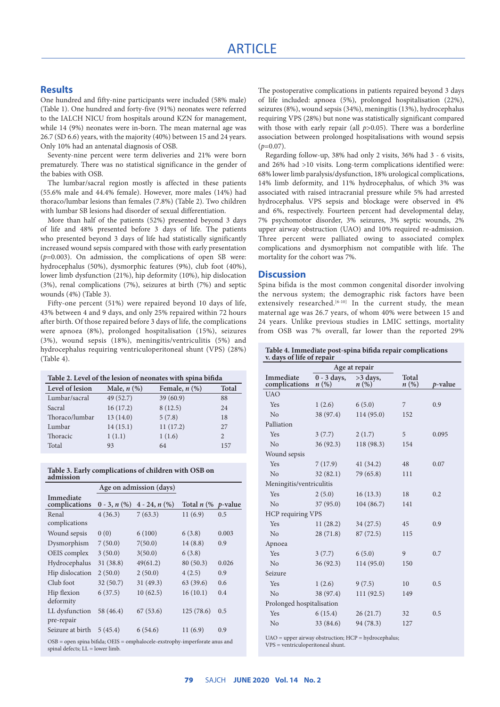### **Results**

One hundred and fifty-nine participants were included (58% male) (Table 1). One hundred and forty-five (91%) neonates were referred to the IALCH NICU from hospitals around KZN for management, while 14 (9%) neonates were in-born. The mean maternal age was 26.7 (SD 6.6) years, with the majority (40%) between 15 and 24 years. Only 10% had an antenatal diagnosis of OSB.

Seventy-nine percent were term deliveries and 21% were born prematurely. There was no statistical significance in the gender of the babies with OSB.

The lumbar/sacral region mostly is affected in these patients (55.6% male and 44.4% female). However, more males (14%) had thoraco/lumbar lesions than females (7.8%) (Table 2). Two children with lumbar SB lesions had disorder of sexual differentiation.

More than half of the patients (52%) presented beyond 3 days of life and 48% presented before 3 days of life. The patients who presented beyond 3 days of life had statistically significantly increased wound sepsis compared with those with early presentation (*p*=0.003). On admission, the complications of open SB were: hydrocephalus (50%), dysmorphic features (9%), club foot (40%), lower limb dysfunction (21%), hip deformity (10%), hip dislocation (3%), renal complications (7%), seizures at birth (7%) and septic wounds (4%) (Table 3).

Fifty-one percent (51%) were repaired beyond 10 days of life, 43% between 4 and 9 days, and only 25% repaired within 72 hours after birth. Of those repaired before 3 days of life, the complications were apnoea (8%), prolonged hospitalisation (15%), seizures (3%), wound sepsis (18%), meningitis/ventriculitis (5%) and hydrocephalus requiring ventriculoperitoneal shunt (VPS) (28%) (Table 4).

| Table 2. Level of the lesion of neonates with spina bifida |                  |                    |              |  |
|------------------------------------------------------------|------------------|--------------------|--------------|--|
| Level of lesion                                            | Male, $n$ $(\%)$ | Female, $n$ $(\%)$ | <b>Total</b> |  |
| Lumbar/sacral                                              | 49 (52.7)        | 39(60.9)           | 88           |  |
| Sacral                                                     | 16(17.2)         | 8(12.5)            | 24           |  |
| Thoraco/lumbar                                             | 13(14.0)         | 5(7.8)             | 18           |  |
| Lumbar                                                     | 14(15.1)         | 11(17.2)           | 27           |  |
| Thoracic                                                   | 1(1.1)           | 1(1.6)             | 2            |  |
| Total                                                      | 93               | 64                 | 157          |  |

|           | Table 3. Early complications of children with OSB on |  |  |  |
|-----------|------------------------------------------------------|--|--|--|
| admission |                                                      |  |  |  |

|                                                                              |                | Age on admission (days) |               |                 |  |
|------------------------------------------------------------------------------|----------------|-------------------------|---------------|-----------------|--|
| Immediate<br>complications                                                   | $0 - 3, n (%)$ | $4 - 24, n(\%)$         | Total $n$ (%) | <i>p</i> -value |  |
| Renal                                                                        | 4(36.3)        | 7(63.3)                 | 11(6.9)       | 0.5             |  |
| complications                                                                |                |                         |               |                 |  |
| Wound sepsis                                                                 | 0(0)           | 6(100)                  | 6(3.8)        | 0.003           |  |
| Dysmorphism                                                                  | 7(50.0)        | 7(50.0)                 | 14(8.8)       | 0.9             |  |
| OEIS complex                                                                 | 3(50.0)        | 3(50.0)                 | 6(3.8)        |                 |  |
| Hydrocephalus                                                                | 31(38.8)       | 49(61.2)                | 80 (50.3)     | 0.026           |  |
| Hip dislocation                                                              | 2(50.0)        | 2(50.0)                 | 4(2.5)        | 0.9             |  |
| Club foot                                                                    | 32(50.7)       | 31(49.3)                | 63(39.6)      | 0.6             |  |
| Hip flexion                                                                  | 6(37.5)        | 10(62.5)                | 16(10.1)      | 0.4             |  |
| deformity                                                                    |                |                         |               |                 |  |
| LL dysfunction                                                               | 58 (46.4)      | 67(53.6)                | 125(78.6)     | 0.5             |  |
| pre-repair                                                                   |                |                         |               |                 |  |
| Seizure at birth                                                             | 5(45.4)        | 6(54.6)                 | 11(6.9)       | 0.9             |  |
| $OSB =$ open spina bifida; OEIS = omphalocele-exstrophy-imperforate anus and |                |                         |               |                 |  |

spinal defects;  $LL = lower$  limb.

The postoperative complications in patients repaired beyond 3 days of life included: apnoea (5%), prolonged hospitalisation (22%), seizures (8%), wound sepsis (34%), meningitis (13%), hydrocephalus requiring VPS (28%) but none was statistically significant compared with those with early repair (all  $p>0.05$ ). There was a borderline association between prolonged hospitalisations with wound sepsis  $(p=0.07)$ .

Regarding follow-up, 38% had only 2 visits, 36% had 3 - 6 visits, and 26% had >10 visits. Long-term complications identified were: 68% lower limb paralysis/dysfunction, 18% urological complications, 14% limb deformity, and 11% hydrocephalus, of which 3% was associated with raised intracranial pressure while 5% had arrested hydrocephalus. VPS sepsis and blockage were observed in 4% and 6%, respectively. Fourteen percent had developmental delay, 7% psychomotor disorder, 3% seizures, 3% septic wounds, 2% upper airway obstruction (UAO) and 10% required re-admission. Three percent were palliated owing to associated complex complications and dysmorphism not compatible with life. The mortality for the cohort was 7%.

#### **Discussion**

Spina bifida is the most common congenital disorder involving the nervous system; the demographic risk factors have been extensively researched.<sup>[6-10]</sup> In the current study, the mean maternal age was 26.7 years, of whom 40% were between 15 and 24 years. Unlike previous studies in LMIC settings, mortality from OSB was 7% overall, far lower than the reported 29%

#### **Table 4. Immediate post-spina bifida repair complications v. days of life of repair**

|                            | Age at repair                       |                    |                             |         |  |
|----------------------------|-------------------------------------|--------------------|-----------------------------|---------|--|
| Immediate<br>complications | $0 - 3$ days,<br>$n\left(\%\right)$ | $>3$ days,<br>n(%) | Total<br>$n\left(\%\right)$ | p-value |  |
| <b>UAO</b>                 |                                     |                    |                             |         |  |
| Yes                        | 1(2.6)                              | 6(5.0)             | 7                           | 0.9     |  |
| N <sub>o</sub>             | 38 (97.4)                           | 114 (95.0)         | 152                         |         |  |
| Palliation                 |                                     |                    |                             |         |  |
| Yes                        | 3(7.7)                              | 2(1.7)             | 5                           | 0.095   |  |
| No                         | 36(92.3)                            | 118 (98.3)         | 154                         |         |  |
| Wound sepsis               |                                     |                    |                             |         |  |
| Yes                        | 7(17.9)                             | 41(34.2)           | 48                          | 0.07    |  |
| N <sub>o</sub>             | 32(82.1)                            | 79 (65.8)          | 111                         |         |  |
| Meningitis/ventriculitis   |                                     |                    |                             |         |  |
| Yes                        | 2(5.0)                              | 16(13.3)           | 18                          | 0.2     |  |
| No                         | 37(95.0)                            | 104(86.7)          | 141                         |         |  |
| HCP requiring VPS          |                                     |                    |                             |         |  |
| Yes                        | 11(28.2)                            | 34(27.5)           | 45                          | 0.9     |  |
| N <sub>o</sub>             | 28(71.8)                            | 87(72.5)           | 115                         |         |  |
| Apnoea                     |                                     |                    |                             |         |  |
| <b>Yes</b>                 | 3(7.7)                              | 6(5.0)             | 9                           | 0.7     |  |
| N <sub>o</sub>             | 36(92.3)                            | 114 (95.0)         | 150                         |         |  |
| Seizure                    |                                     |                    |                             |         |  |
| Yes                        | 1(2.6)                              | 9(7.5)             | 10                          | 0.5     |  |
| N <sub>o</sub>             | 38 (97.4)                           | 111(92.5)          | 149                         |         |  |
| Prolonged hospitalisation  |                                     |                    |                             |         |  |
| Yes                        | 6(15.4)                             | 26(21.7)           | 32                          | 0.5     |  |
| N <sub>o</sub>             | 33 (84.6)                           | 94 (78.3)          | 127                         |         |  |
|                            |                                     |                    |                             |         |  |

UAO = upper airway obstruction; HCP = hydrocephalus; VPS = ventriculoperitoneal shunt.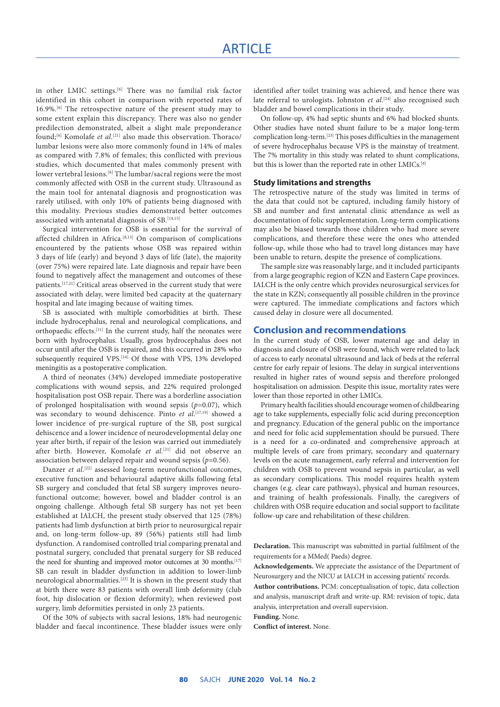in other LMIC settings.[6] There was no familial risk factor identified in this cohort in comparison with reported rates of 16.9%.[6] The retrospective nature of the present study may to some extent explain this discrepancy. There was also no gender predilection demonstrated, albeit a slight male preponderance found;[6] Komolafe *et al*. [21] also made this observation. Thoraco/ lumbar lesions were also more commonly found in 14% of males as compared with 7.8% of females; this conflicted with previous studies, which documented that males commonly present with lower vertebral lesions.<sup>[6]</sup> The lumbar/sacral regions were the most commonly affected with OSB in the current study. Ultrasound as the main tool for antenatal diagnosis and prognostication was rarely utilised, with only 10% of patients being diagnosed with this modality. Previous studies demonstrated better outcomes associated with antenatal diagnosis of SB.<sup>[14,15]</sup>

Surgical intervention for OSB is essential for the survival of affected children in Africa.[8,13] On comparison of complications encountered by the patients whose OSB was repaired within 3 days of life (early) and beyond 3 days of life (late), the majority (over 75%) were repaired late. Late diagnosis and repair have been found to negatively affect the management and outcomes of these patients.[17,21] Critical areas observed in the current study that were associated with delay, were limited bed capacity at the quaternary hospital and late imaging because of waiting times.

SB is associated with multiple comorbidities at birth. These include hydrocephalus, renal and neurological complications, and orthopaedic effects.[11] In the current study, half the neonates were born with hydrocephalus. Usually, gross hydrocephalus does not occur until after the OSB is repaired, and this occurred in 28% who subsequently required VPS.<sup>[14]</sup> Of those with VPS, 13% developed meningitis as a postoperative complication.

A third of neonates (34%) developed immediate postoperative complications with wound sepsis, and 22% required prolonged hospitalisation post OSB repair. There was a borderline association of prolonged hospitalisation with wound sepsis (*p*=0.07), which was secondary to wound dehiscence. Pinto *et al*. [17,19] showed a lower incidence of pre-surgical rupture of the SB, post surgical dehiscence and a lower incidence of neurodevelopmental delay one year after birth, if repair of the lesion was carried out immediately after birth. However, Komolafe *et al.*[21] did not observe an association between delayed repair and wound sepsis (*p*=0.56).

Danzer *et al.*<sup>[22]</sup> assessed long-term neurofunctional outcomes, executive function and behavioural adaptive skills following fetal SB surgery and concluded that fetal SB surgery improves neurofunctional outcome; however, bowel and bladder control is an ongoing challenge. Although fetal SB surgery has not yet been established at IALCH, the present study observed that 125 (78%) patients had limb dysfunction at birth prior to neurosurgical repair and, on long-term follow-up, 89 (56%) patients still had limb dysfunction. A randomised controlled trial comparing prenatal and postnatal surgery, concluded that prenatal surgery for SB reduced the need for shunting and improved motor outcomes at 30 months.<sup>[17]</sup> SB can result in bladder dysfunction in addition to lower-limb neurological abnormalities.[23] It is shown in the present study that at birth there were 83 patients with overall limb deformity (club foot, hip dislocation or flexion deformity); when reviewed post surgery, limb deformities persisted in only 23 patients.

Of the 30% of subjects with sacral lesions, 18% had neurogenic bladder and faecal incontinence. These bladder issues were only identified after toilet training was achieved, and hence there was late referral to urologists. Johnston *et al*.<sup>[24]</sup> also recognised such bladder and bowel complications in their study.

On follow-up, 4% had septic shunts and 6% had blocked shunts. Other studies have noted shunt failure to be a major long-term complication long-term.[23] This poses difficulties in the management of severe hydrocephalus because VPS is the mainstay of treatment. The 7% mortality in this study was related to shunt complications, but this is lower than the reported rate in other LMICs.<sup>[6]</sup>

#### **Study limitations and strengths**

The retrospective nature of the study was limited in terms of the data that could not be captured, including family history of SB and number and first antenatal clinic attendance as well as documentation of folic supplementation. Long-term complications may also be biased towards those children who had more severe complications, and therefore these were the ones who attended follow-up, while those who had to travel long distances may have been unable to return, despite the presence of complications.

The sample size was reasonably large, and it included participants from a large geographic region of KZN and Eastern Cape provinces. IALCH is the only centre which provides neurosurgical services for the state in KZN; consequently all possible children in the province were captured. The immediate complications and factors which caused delay in closure were all documented.

#### **Conclusion and recommendations**

In the current study of OSB, lower maternal age and delay in diagnosis and closure of OSB were found, which were related to lack of access to early neonatal ultrasound and lack of beds at the referral centre for early repair of lesions. The delay in surgical interventions resulted in higher rates of wound sepsis and therefore prolonged hospitalisation on admission. Despite this issue, mortality rates were lower than those reported in other LMICs.

Primary health facilities should encourage women of childbearing age to take supplements, especially folic acid during preconception and pregnancy. Education of the general public on the importance and need for folic acid supplementation should be pursued. There is a need for a co-ordinated and comprehensive approach at multiple levels of care from primary, secondary and quaternary levels on the acute management, early referral and intervention for children with OSB to prevent wound sepsis in particular, as well as secondary complications. This model requires health system changes (e.g. clear care pathways), physical and human resources, and training of health professionals. Finally, the caregivers of children with OSB require education and social support to facilitate follow-up care and rehabilitation of these children.

**Declaration.** This manuscript was submitted in partial fulfilment of the requirements for a MMed( Paeds) degree.

**Acknowledgements.** We appreciate the assistance of the Department of Neurosurgery and the NICU at IALCH in accessing patients' records.

**Author contributions.** PCM: conceptualisation of topic, data collection and analysis, manuscript draft and write-up. RM: revision of topic, data analysis, interpretation and overall supervision.

**Funding.** None.

**Conflict of interest.** None.